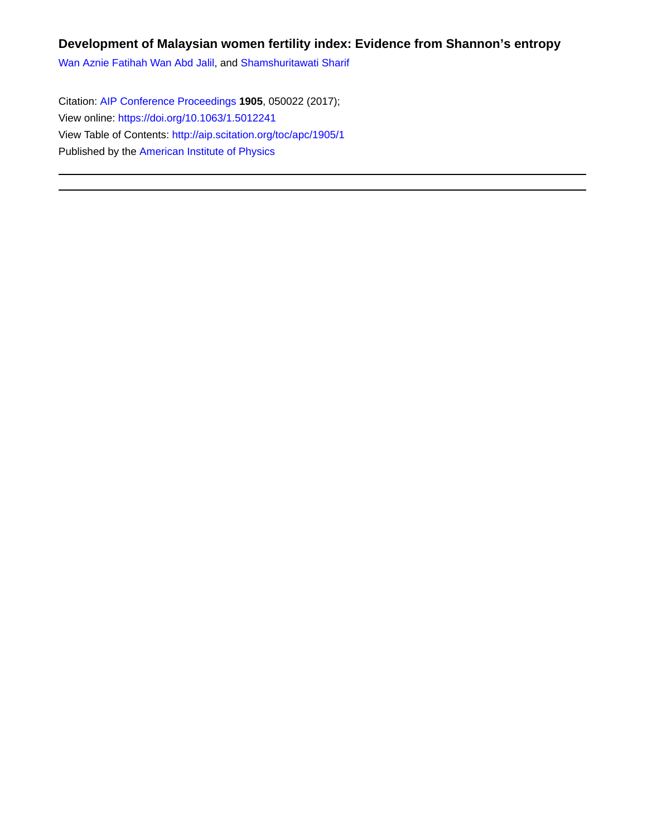## **Development of Malaysian women fertility index: Evidence from Shannon's entropy**

[Wan Aznie Fatihah Wan Abd Jalil,](http://aip.scitation.org/author/Jalil%2C+Wan+Aznie+Fatihah+Wan+Abd) and [Shamshuritawati Sharif](http://aip.scitation.org/author/Sharif%2C+Shamshuritawati)

Citation: [AIP Conference Proceedings](/loi/apc) **1905**, 050022 (2017); View online: <https://doi.org/10.1063/1.5012241> View Table of Contents: <http://aip.scitation.org/toc/apc/1905/1> Published by the [American Institute of Physics](http://aip.scitation.org/publisher/)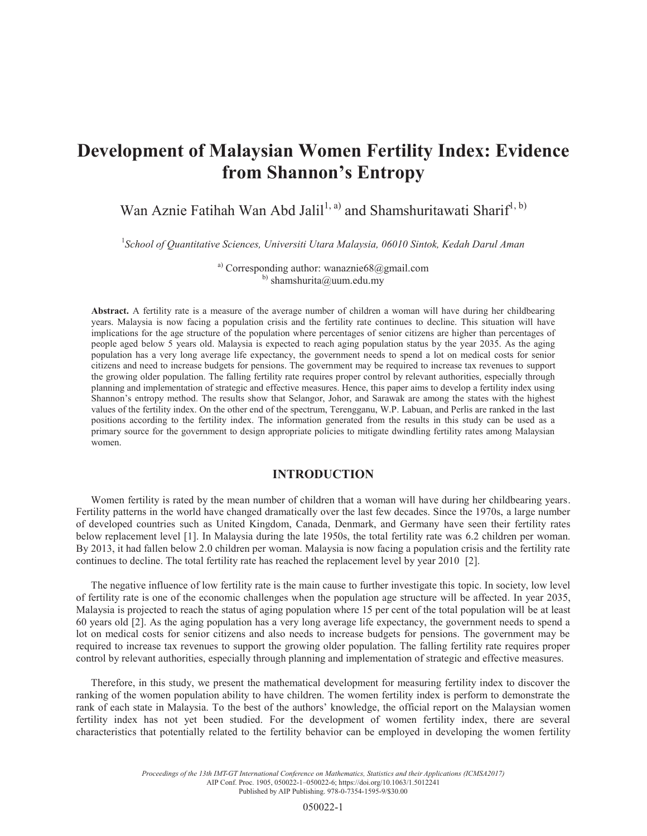# **Development of Malaysian Women Fertility Index: Evidence from Shannon's Entropy**

Wan Aznie Fatihah Wan Abd Jalil<sup>1, a)</sup> and Shamshuritawati Sharif<sup>1, b)</sup>

<sup>1</sup> School of Quantitative Sciences, Universiti Utara Malaysia, 06010 Sintok, Kedah Darul Aman

a) Corresponding author: wanaznie68@gmail.com  $^{b)}$  shamshurita@uum.edu.my

**Abstract.** A fertility rate is a measure of the average number of children a woman will have during her childbearing years. Malaysia is now facing a population crisis and the fertility rate continues to decline. This situation will have implications for the age structure of the population where percentages of senior citizens are higher than percentages of people aged below 5 years old. Malaysia is expected to reach aging population status by the year 2035. As the aging population has a very long average life expectancy, the government needs to spend a lot on medical costs for senior citizens and need to increase budgets for pensions. The government may be required to increase tax revenues to support the growing older population. The falling fertility rate requires proper control by relevant authorities, especially through planning and implementation of strategic and effective measures. Hence, this paper aims to develop a fertility index using Shannon's entropy method. The results show that Selangor, Johor, and Sarawak are among the states with the highest values of the fertility index. On the other end of the spectrum, Terengganu, W.P. Labuan, and Perlis are ranked in the last positions according to the fertility index. The information generated from the results in this study can be used as a primary source for the government to design appropriate policies to mitigate dwindling fertility rates among Malaysian women.

## **INTRODUCTION**

Women fertility is rated by the mean number of children that a woman will have during her childbearing years. Fertility patterns in the world have changed dramatically over the last few decades. Since the 1970s, a large number of developed countries such as United Kingdom, Canada, Denmark, and Germany have seen their fertility rates below replacement level [1]. In Malaysia during the late 1950s, the total fertility rate was 6.2 children per woman. By 2013, it had fallen below 2.0 children per woman. Malaysia is now facing a population crisis and the fertility rate continues to decline. The total fertility rate has reached the replacement level by year 2010 [2].

The negative influence of low fertility rate is the main cause to further investigate this topic. In society, low level of fertility rate is one of the economic challenges when the population age structure will be affected. In year 2035, Malaysia is projected to reach the status of aging population where 15 per cent of the total population will be at least 60 years old [2]. As the aging population has a very long average life expectancy, the government needs to spend a lot on medical costs for senior citizens and also needs to increase budgets for pensions. The government may be required to increase tax revenues to support the growing older population. The falling fertility rate requires proper control by relevant authorities, especially through planning and implementation of strategic and effective measures.

Therefore, in this study, we present the mathematical development for measuring fertility index to discover the ranking of the women population ability to have children. The women fertility index is perform to demonstrate the rank of each state in Malaysia. To the best of the authors' knowledge, the official report on the Malaysian women fertility index has not yet been studied. For the development of women fertility index, there are several characteristics that potentially related to the fertility behavior can be employed in developing the women fertility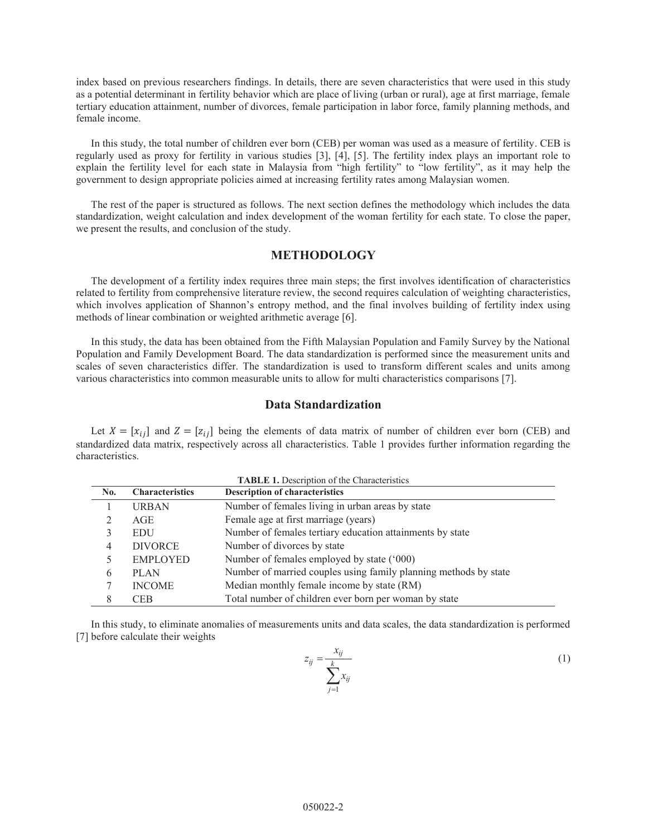index based on previous researchers findings. In details, there are seven characteristics that were used in this study as a potential determinant in fertility behavior which are place of living (urban or rural), age at first marriage, female tertiary education attainment, number of divorces, female participation in labor force, family planning methods, and female income.

In this study, the total number of children ever born (CEB) per woman was used as a measure of fertility. CEB is regularly used as proxy for fertility in various studies [3], [4], [5]. The fertility index plays an important role to explain the fertility level for each state in Malaysia from "high fertility" to "low fertility", as it may help the government to design appropriate policies aimed at increasing fertility rates among Malaysian women.

The rest of the paper is structured as follows. The next section defines the methodology which includes the data standardization, weight calculation and index development of the woman fertility for each state. To close the paper, we present the results, and conclusion of the study.

## **METHODOLOGY**

The development of a fertility index requires three main steps; the first involves identification of characteristics related to fertility from comprehensive literature review, the second requires calculation of weighting characteristics, which involves application of Shannon's entropy method, and the final involves building of fertility index using methods of linear combination or weighted arithmetic average [6].

In this study, the data has been obtained from the Fifth Malaysian Population and Family Survey by the National Population and Family Development Board. The data standardization is performed since the measurement units and scales of seven characteristics differ. The standardization is used to transform different scales and units among various characteristics into common measurable units to allow for multi characteristics comparisons [7].

### **Data Standardization**

Let  $X = [x_{ij}]$  and  $Z = [z_{ij}]$  being the elements of data matrix of number of children ever born (CEB) and standardized data matrix, respectively across all characteristics. Table 1 provides further information regarding the characteristics.

| <b>TABLE 1.</b> Description of the Characteristics |                        |                                                                  |  |
|----------------------------------------------------|------------------------|------------------------------------------------------------------|--|
| No.                                                | <b>Characteristics</b> | <b>Description of characteristics</b>                            |  |
|                                                    | <b>URBAN</b>           | Number of females living in urban areas by state                 |  |
|                                                    | AGE                    | Female age at first marriage (years)                             |  |
|                                                    | <b>EDU</b>             | Number of females tertiary education attainments by state        |  |
| 4                                                  | <b>DIVORCE</b>         | Number of divorces by state                                      |  |
|                                                    | <b>EMPLOYED</b>        | Number of females employed by state ('000)                       |  |
| 6                                                  | <b>PLAN</b>            | Number of married couples using family planning methods by state |  |
|                                                    | <b>INCOME</b>          | Median monthly female income by state (RM)                       |  |
| 8                                                  | CEB                    | Total number of children ever born per woman by state            |  |

In this study, to eliminate anomalies of measurements units and data scales, the data standardization is performed [7] before calculate their weights

$$
z_{ij} = \frac{x_{ij}}{\sum_{j=1}^{k} x_{ij}}\tag{1}
$$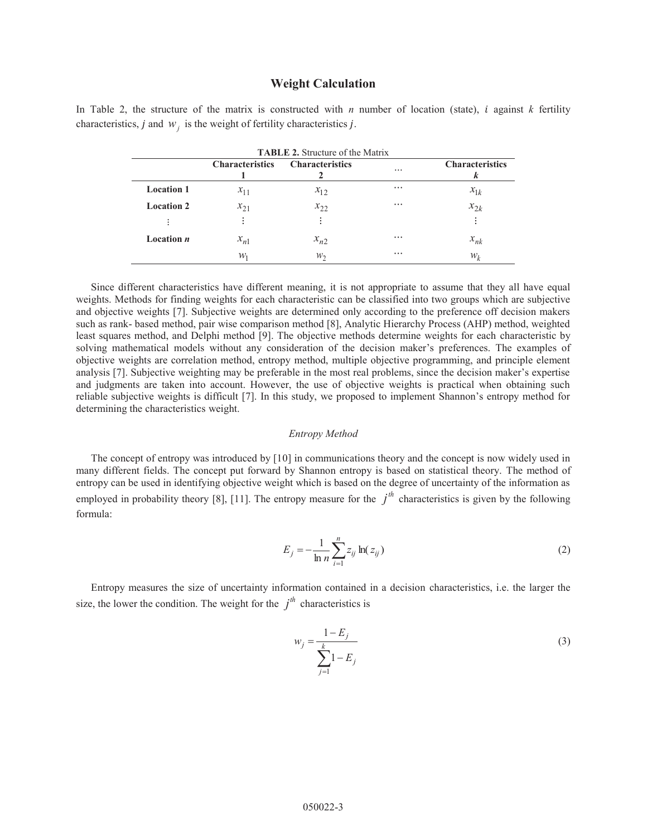#### **Weight Calculation**

In Table 2, the structure of the matrix is constructed with  $n$  number of location (state),  $i$  against  $k$  fertility characteristics, *j* and  $w_i$  is the weight of fertility characteristics *j*.

|                   | <b>Characteristics</b> | <b>Characteristics</b> | $\cdots$ | <b>Characteristics</b><br>k |
|-------------------|------------------------|------------------------|----------|-----------------------------|
| <b>Location 1</b> | $x_{11}$               | $x_{12}$               | $\cdots$ | $x_{1k}$                    |
| <b>Location 2</b> | $x_{21}$               | $x_{22}$               | $\cdots$ | $x_{2k}$                    |
| ٠                 |                        |                        |          | ٠                           |
| Location $n$      | $x_{n1}$               | $x_{n2}$               | $\cdots$ | $x_{nk}$                    |
|                   | $\mathcal{W}_1$        | W7                     | $\cdots$ | $W_k$                       |

Since different characteristics have different meaning, it is not appropriate to assume that they all have equal weights. Methods for finding weights for each characteristic can be classified into two groups which are subjective and objective weights [7]. Subjective weights are determined only according to the preference off decision makers such as rank- based method, pair wise comparison method [8], Analytic Hierarchy Process (AHP) method, weighted least squares method, and Delphi method [9]. The objective methods determine weights for each characteristic by solving mathematical models without any consideration of the decision maker's preferences. The examples of objective weights are correlation method, entropy method, multiple objective programming, and principle element analysis [7]. Subjective weighting may be preferable in the most real problems, since the decision maker's expertise and judgments are taken into account. However, the use of objective weights is practical when obtaining such reliable subjective weights is difficult [7]. In this study, we proposed to implement Shannon's entropy method for determining the characteristics weight.

#### *Entropy Method*

The concept of entropy was introduced by [10] in communications theory and the concept is now widely used in many different fields. The concept put forward by Shannon entropy is based on statistical theory. The method of entropy can be used in identifying objective weight which is based on the degree of uncertainty of the information as employed in probability theory [8], [11]. The entropy measure for the  $j<sup>th</sup>$  characteristics is given by the following formula:

$$
E_j = -\frac{1}{\ln n} \sum_{i=1}^{n} z_{ij} \ln(z_{ij})
$$
 (2)

Entropy measures the size of uncertainty information contained in a decision characteristics, i.e. the larger the size, the lower the condition. The weight for the  $j<sup>th</sup>$  characteristics is

$$
w_j = \frac{1 - E_j}{\sum_{j=1}^k 1 - E_j}
$$
 (3)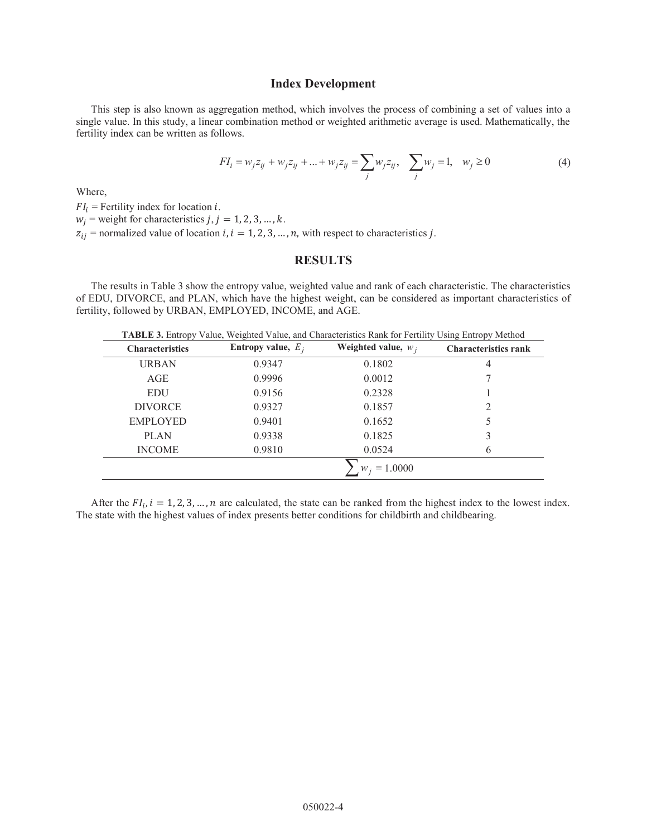#### **Index Development**

This step is also known as aggregation method, which involves the process of combining a set of values into a single value. In this study, a linear combination method or weighted arithmetic average is used. Mathematically, the fertility index can be written as follows.

$$
FI_i = w_j z_{ij} + w_j z_{ij} + \dots + w_j z_{ij} = \sum_j w_j z_{ij}, \quad \sum_j w_j = 1, \quad w_j \ge 0
$$
 (4)

Where,

 $FI_i$  = Fertility index for location *i*.

 $w_j$  = weight for characteristics  $j, j = 1, 2, 3, ..., k$ .

 $z_{ij}$  = normalized value of location  $i, i = 1, 2, 3, ..., n$ , with respect to characteristics  $j$ .

## **RESULTS**

The results in Table 3 show the entropy value, weighted value and rank of each characteristic. The characteristics of EDU, DIVORCE, and PLAN, which have the highest weight, can be considered as important characteristics of fertility, followed by URBAN, EMPLOYED, INCOME, and AGE.

|  |  |  | <b>TABLE 3.</b> Entropy Value, Weighted Value, and Characteristics Rank for Fertility Using Entropy Method |
|--|--|--|------------------------------------------------------------------------------------------------------------|
|--|--|--|------------------------------------------------------------------------------------------------------------|

| <b>Characteristics</b> | Entropy value, $E_i$ | Weighted value, $w_i$ | <b>Characteristics rank</b> |
|------------------------|----------------------|-----------------------|-----------------------------|
| <b>URBAN</b>           | 0.9347               | 0.1802                | 4                           |
| AGE                    | 0.9996               | 0.0012                |                             |
| <b>EDU</b>             | 0.9156               | 0.2328                |                             |
| <b>DIVORCE</b>         | 0.9327               | 0.1857                |                             |
| <b>EMPLOYED</b>        | 0.9401               | 0.1652                |                             |
| <b>PLAN</b>            | 0.9338               | 0.1825                |                             |
| <b>INCOME</b>          | 0.9810               | 0.0524                | h                           |
|                        |                      | $= 1.0000$<br>$W_{i}$ |                             |

After the  $FI_i$ ,  $i = 1, 2, 3, ..., n$  are calculated, the state can be ranked from the highest index to the lowest index. The state with the highest values of index presents better conditions for childbirth and childbearing.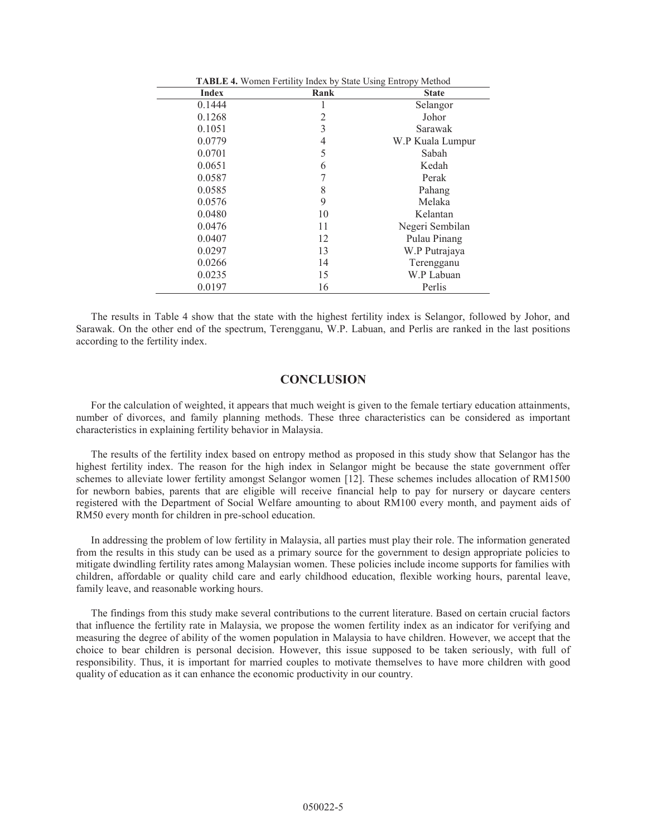| <b>Index</b> | Rank | <b>State</b>     |
|--------------|------|------------------|
| 0.1444       |      | Selangor         |
| 0.1268       | 2    | Johor            |
| 0.1051       | 3    | Sarawak          |
| 0.0779       | 4    | W.P Kuala Lumpur |
| 0.0701       | 5    | Sabah            |
| 0.0651       | 6    | Kedah            |
| 0.0587       | 7    | Perak            |
| 0.0585       | 8    | Pahang           |
| 0.0576       | 9    | Melaka           |
| 0.0480       | 10   | Kelantan         |
| 0.0476       | 11   | Negeri Sembilan  |
| 0.0407       | 12   | Pulau Pinang     |
| 0.0297       | 13   | W.P Putrajaya    |
| 0.0266       | 14   | Terengganu       |
| 0.0235       | 15   | W.P Labuan       |
| 0.0197       | 16   | Perlis           |

**TABLE 4.** Women Fertility Index by State Using Entropy Method

The results in Table 4 show that the state with the highest fertility index is Selangor, followed by Johor, and Sarawak. On the other end of the spectrum, Terengganu, W.P. Labuan, and Perlis are ranked in the last positions according to the fertility index.

## **CONCLUSION**

For the calculation of weighted, it appears that much weight is given to the female tertiary education attainments, number of divorces, and family planning methods. These three characteristics can be considered as important characteristics in explaining fertility behavior in Malaysia.

The results of the fertility index based on entropy method as proposed in this study show that Selangor has the highest fertility index. The reason for the high index in Selangor might be because the state government offer schemes to alleviate lower fertility amongst Selangor women [12]. These schemes includes allocation of RM1500 for newborn babies, parents that are eligible will receive financial help to pay for nursery or daycare centers registered with the Department of Social Welfare amounting to about RM100 every month, and payment aids of RM50 every month for children in pre-school education.

In addressing the problem of low fertility in Malaysia, all parties must play their role. The information generated from the results in this study can be used as a primary source for the government to design appropriate policies to mitigate dwindling fertility rates among Malaysian women. These policies include income supports for families with children, affordable or quality child care and early childhood education, flexible working hours, parental leave, family leave, and reasonable working hours.

The findings from this study make several contributions to the current literature. Based on certain crucial factors that influence the fertility rate in Malaysia, we propose the women fertility index as an indicator for verifying and measuring the degree of ability of the women population in Malaysia to have children. However, we accept that the choice to bear children is personal decision. However, this issue supposed to be taken seriously, with full of responsibility. Thus, it is important for married couples to motivate themselves to have more children with good quality of education as it can enhance the economic productivity in our country.